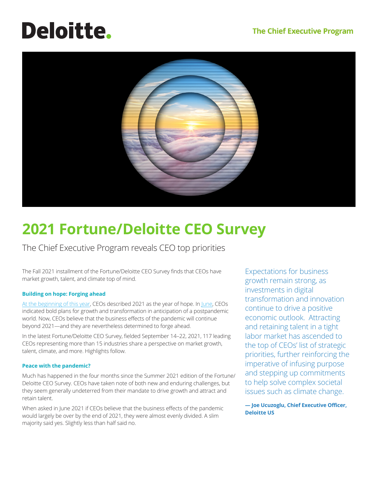# **Deloitte.**



# **2021 Fortune/Deloitte CEO Survey**

The Chief Executive Program reveals CEO top priorities

The Fall 2021 installment of the Fortune/Deloitte CEO Survey finds that CEOs have market growth, talent, and climate top of mind.

## **Building on hope: Forging ahead**

At the beginning of this year, CEOs described 2021 as the year of hope. In June, CEOs indicated bold plans for growth and transformation in anticipation of a postpandemic world. Now, CEOs believe that the business effects of the pandemic will continue beyond 2021—and they are nevertheless determined to forge ahead.

In the latest Fortune/Deloitte CEO Survey, fielded September 14–22, 2021, 117 leading CEOs representing more than 15 industries share a perspective on market growth, talent, climate, and more. Highlights follow.

## **Peace with the pandemic?**

Much has happened in the four months since the Summer 2021 edition of the Fortune/ Deloitte CEO Survey. CEOs have taken note of both new and enduring challenges, but they seem generally undeterred from their mandate to drive growth and attract and retain talent.

When asked in June 2021 if CEOs believe that the business effects of the pandemic would largely be over by the end of 2021, they were almost evenly divided. A slim majority said yes. Slightly less than half said no.

Expectations for business growth remain strong, as investments in digital transformation and innovation continue to drive a positive economic outlook. Attracting and retaining talent in a tight labor market has ascended to the top of CEOs' list of strategic priorities, further reinforcing the imperative of infusing purpose and stepping up commitments to help solve complex societal issues such as climate change.

**— Joe Ucuzoglu, Chief Executive Officer, Deloitte US**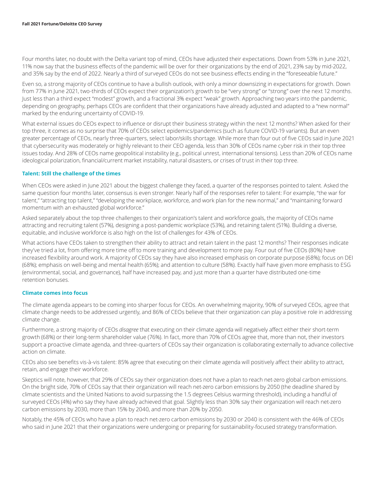Four months later, no doubt with the Delta variant top of mind, CEOs have adjusted their expectations. Down from 53% in June 2021, 11% now say that the business effects of the pandemic will be over for their organizations by the end of 2021, 23% say by mid-2022, and 35% say by the end of 2022. Nearly a third of surveyed CEOs do not see business effects ending in the "foreseeable future."

Even so, a strong majority of CEOs continue to have a bullish outlook, with only a minor downsizing in expectations for growth. Down from 77% in June 2021, two-thirds of CEOs expect their organization's growth to be "very strong" or "strong" over the next 12 months. Just less than a third expect "modest" growth, and a fractional 3% expect "weak" growth. Approaching two years into the pandemic, depending on geography, perhaps CEOs are confident that their organizations have already adjusted and adapted to a "new normal" marked by the enduring uncertainty of COVID-19.

What external issues do CEOs expect to influence or disrupt their business strategy within the next 12 months? When asked for their top three, it comes as no surprise that 70% of CEOs select epidemics/pandemics (such as future COVID-19 variants). But an even greater percentage of CEOs, nearly three-quarters, select labor/skills shortage. While more than four out of five CEOs said in June 2021 that cybersecurity was moderately or highly relevant to their CEO agenda, less than 30% of CEOs name cyber risk in their top three issues today. And 28% of CEOs name geopolitical instability (e.g., political unrest, international tensions). Less than 20% of CEOs name ideological polarization, financial/current market instability, natural disasters, or crises of trust in their top three.

#### **Talent: Still the challenge of the times**

When CEOs were asked in June 2021 about the biggest challenge they faced, a quarter of the responses pointed to talent. Asked the same question four months later, consensus is even stronger. Nearly half of the responses refer to talent: For example, "the war for talent," "attracting top talent," "developing the workplace, workforce, and work plan for the new normal," and "maintaining forward momentum with an exhausted global workforce."

Asked separately about the top three challenges to their organization's talent and workforce goals, the majority of CEOs name attracting and recruiting talent (57%), designing a post-pandemic workplace (53%), and retaining talent (51%). Building a diverse, equitable, and inclusive workforce is also high on the list of challenges for 43% of CEOs.

What actions have CEOs taken to strengthen their ability to attract and retain talent in the past 12 months? Their responses indicate they've tried a lot, from offering more time off to more training and development to more pay. Four out of five CEOs (80%) have increased flexibility around work. A majority of CEOs say they have also increased emphasis on corporate purpose (68%); focus on DEI (68%); emphasis on well-being and mental health (65%); and attention to culture (58%). Exactly half have given more emphasis to ESG (environmental, social, and governance), half have increased pay, and just more than a quarter have distributed one-time retention bonuses.

#### **Climate comes into focus**

The climate agenda appears to be coming into sharper focus for CEOs. An overwhelming majority, 90% of surveyed CEOs, agree that climate change needs to be addressed urgently, and 86% of CEOs believe that their organization can play a positive role in addressing climate change.

Furthermore, a strong majority of CEOs *disagree* that executing on their climate agenda will negatively affect either their short-term growth (68%) or their long-term shareholder value (76%). In fact, more than 70% of CEOs agree that, more than not, their investors support a proactive climate agenda, and three-quarters of CEOs say their organization is collaborating externally to advance collective action on climate.

CEOs also see benefits vis-à-vis talent: 85% agree that executing on their climate agenda will positively affect their ability to attract, retain, and engage their workforce.

Skeptics will note, however, that 29% of CEOs say their organization does not have a plan to reach net-zero global carbon emissions. On the bright side, 70% of CEOs say that their organization will reach net-zero carbon emissions by 2050 (the deadline shared by climate scientists and the United Nations to avoid surpassing the 1.5 degrees Celsius warming threshold), including a handful of surveyed CEOs (4%) who say they have already achieved that goal. Slightly less than 30% say their organization will reach net-zero carbon emissions by 2030, more than 15% by 2040, and more than 20% by 2050.

Notably, the 45% of CEOs who have a plan to reach net-zero carbon emissions by 2030 or 2040 is consistent with the 46% of CEOs who said in June 2021 that their organizations were undergoing or preparing for sustainability-focused strategy transformation.